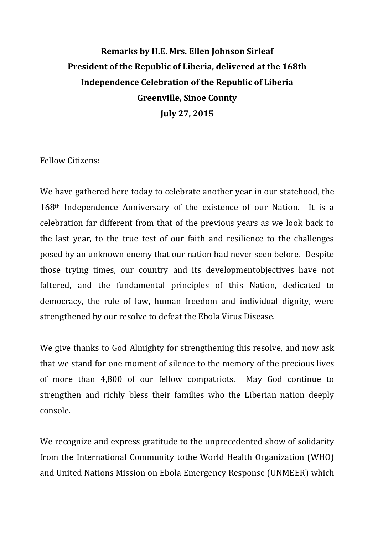## **Remarks by H.E. Mrs. Ellen Johnson Sirleaf President of the Republic of Liberia, delivered at the 168th Independence Celebration of the Republic of Liberia Greenville, Sinoe County July 27, 2015**

Fellow Citizens:

We have gathered here today to celebrate another year in our statehood, the 168th Independence Anniversary of the existence of our Nation. It is a celebration far different from that of the previous years as we look back to the last year, to the true test of our faith and resilience to the challenges posed by an unknown enemy that our nation had never seen before. Despite those trying times, our country and its developmentobjectives have not faltered, and the fundamental principles of this Nation, dedicated to democracy, the rule of law, human freedom and individual dignity, were strengthened by our resolve to defeat the Ebola Virus Disease.

We give thanks to God Almighty for strengthening this resolve, and now ask that we stand for one moment of silence to the memory of the precious lives of more than 4,800 of our fellow compatriots. May God continue to strengthen and richly bless their families who the Liberian nation deeply console.

We recognize and express gratitude to the unprecedented show of solidarity from the International Community tothe World Health Organization (WHO) and United Nations Mission on Ebola Emergency Response (UNMEER) which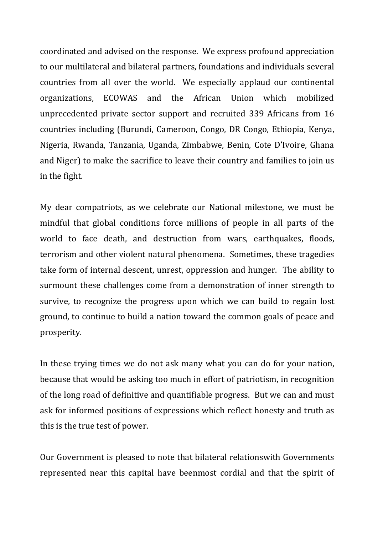coordinated and advised on the response. We express profound appreciation to our multilateral and bilateral partners, foundations and individuals several countries from all over the world. We especially applaud our continental organizations, ECOWAS and the African Union which mobilized unprecedented private sector support and recruited 339 Africans from 16 countries including (Burundi, Cameroon, Congo, DR Congo, Ethiopia, Kenya, Nigeria, Rwanda, Tanzania, Uganda, Zimbabwe, Benin, Cote D'Ivoire, Ghana and Niger) to make the sacrifice to leave their country and families to join us in the fight.

My dear compatriots, as we celebrate our National milestone, we must be mindful that global conditions force millions of people in all parts of the world to face death, and destruction from wars, earthquakes, floods, terrorism and other violent natural phenomena. Sometimes, these tragedies take form of internal descent, unrest, oppression and hunger. The ability to surmount these challenges come from a demonstration of inner strength to survive, to recognize the progress upon which we can build to regain lost ground, to continue to build a nation toward the common goals of peace and prosperity.

In these trying times we do not ask many what you can do for your nation, because that would be asking too much in effort of patriotism, in recognition of the long road of definitive and quantifiable progress. But we can and must ask for informed positions of expressions which reflect honesty and truth as this is the true test of power.

Our Government is pleased to note that bilateral relationswith Governments represented near this capital have beenmost cordial and that the spirit of